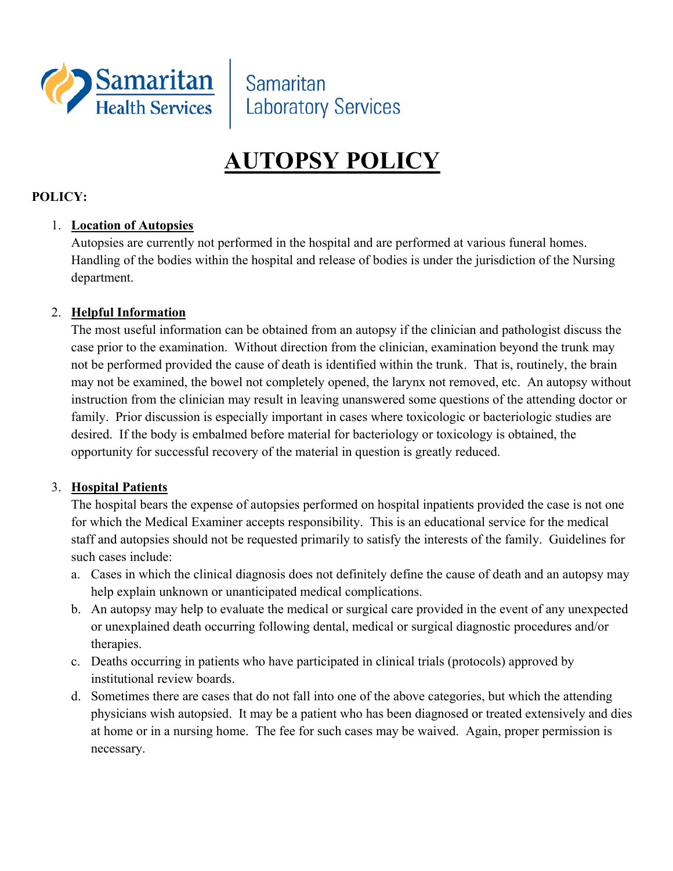

Samaritan **Laboratory Services** 

# **AUTOPSY POLICY**

#### **POLICY:**

#### 1. **Location of Autopsies**

Autopsies are currently not performed in the hospital and are performed at various funeral homes. Handling of the bodies within the hospital and release of bodies is under the jurisdiction of the Nursing department.

#### 2. **Helpful Information**

The most useful information can be obtained from an autopsy if the clinician and pathologist discuss the case prior to the examination. Without direction from the clinician, examination beyond the trunk may not be performed provided the cause of death is identified within the trunk. That is, routinely, the brain may not be examined, the bowel not completely opened, the larynx not removed, etc. An autopsy without instruction from the clinician may result in leaving unanswered some questions of the attending doctor or family. Prior discussion is especially important in cases where toxicologic or bacteriologic studies are desired. If the body is embalmed before material for bacteriology or toxicology is obtained, the opportunity for successful recovery of the material in question is greatly reduced.

#### 3. **Hospital Patients**

The hospital bears the expense of autopsies performed on hospital inpatients provided the case is not one for which the Medical Examiner accepts responsibility. This is an educational service for the medical staff and autopsies should not be requested primarily to satisfy the interests of the family. Guidelines for such cases include:

- a. Cases in which the clinical diagnosis does not definitely define the cause of death and an autopsy may help explain unknown or unanticipated medical complications.
- b. An autopsy may help to evaluate the medical or surgical care provided in the event of any unexpected or unexplained death occurring following dental, medical or surgical diagnostic procedures and/or therapies.
- c. Deaths occurring in patients who have participated in clinical trials (protocols) approved by institutional review boards.
- d. Sometimes there are cases that do not fall into one of the above categories, but which the attending physicians wish autopsied. It may be a patient who has been diagnosed or treated extensively and dies at home or in a nursing home. The fee for such cases may be waived. Again, proper permission is necessary.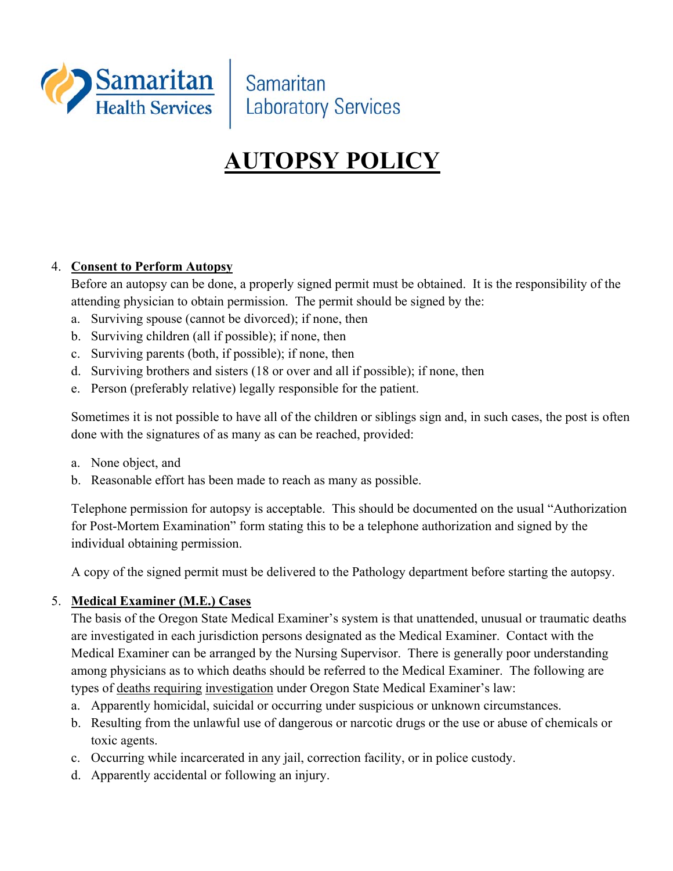

Samaritan **Laboratory Services** 

# **AUTOPSY POLICY**

#### 4. **Consent to Perform Autopsy**

Before an autopsy can be done, a properly signed permit must be obtained. It is the responsibility of the attending physician to obtain permission. The permit should be signed by the:

- a. Surviving spouse (cannot be divorced); if none, then
- b. Surviving children (all if possible); if none, then
- c. Surviving parents (both, if possible); if none, then
- d. Surviving brothers and sisters (18 or over and all if possible); if none, then
- e. Person (preferably relative) legally responsible for the patient.

Sometimes it is not possible to have all of the children or siblings sign and, in such cases, the post is often done with the signatures of as many as can be reached, provided:

- a. None object, and
- b. Reasonable effort has been made to reach as many as possible.

Telephone permission for autopsy is acceptable. This should be documented on the usual "Authorization for Post-Mortem Examination" form stating this to be a telephone authorization and signed by the individual obtaining permission.

A copy of the signed permit must be delivered to the Pathology department before starting the autopsy.

#### 5. **Medical Examiner (M.E.) Cases**

The basis of the Oregon State Medical Examiner's system is that unattended, unusual or traumatic deaths are investigated in each jurisdiction persons designated as the Medical Examiner. Contact with the Medical Examiner can be arranged by the Nursing Supervisor. There is generally poor understanding among physicians as to which deaths should be referred to the Medical Examiner. The following are types of deaths requiring investigation under Oregon State Medical Examiner's law:

- a. Apparently homicidal, suicidal or occurring under suspicious or unknown circumstances.
- b. Resulting from the unlawful use of dangerous or narcotic drugs or the use or abuse of chemicals or toxic agents.
- c. Occurring while incarcerated in any jail, correction facility, or in police custody.
- d. Apparently accidental or following an injury.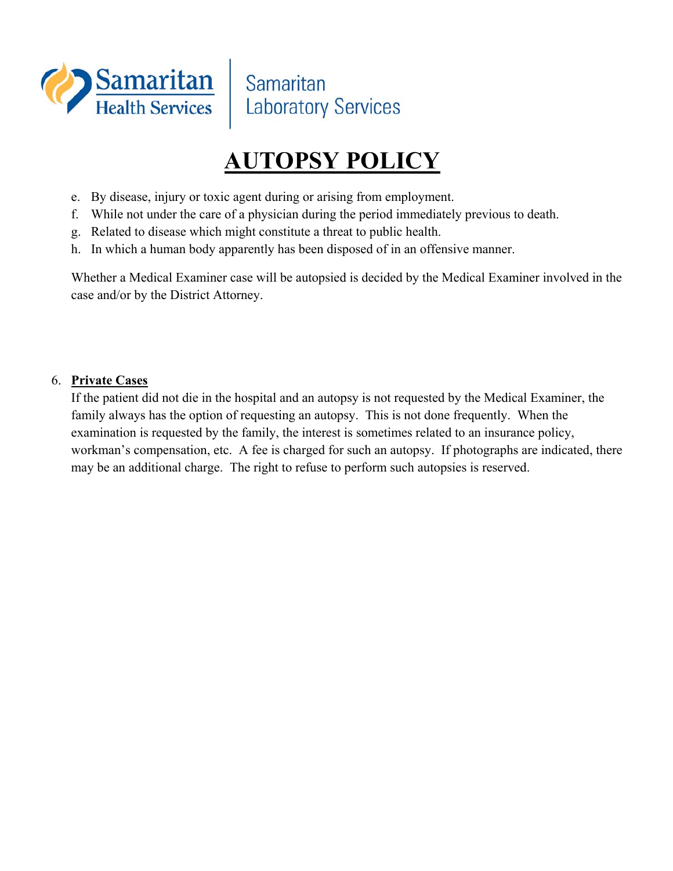

## **AUTOPSY POLICY**

- e. By disease, injury or toxic agent during or arising from employment.
- f. While not under the care of a physician during the period immediately previous to death.
- g. Related to disease which might constitute a threat to public health.
- h. In which a human body apparently has been disposed of in an offensive manner.

Whether a Medical Examiner case will be autopsied is decided by the Medical Examiner involved in the case and/or by the District Attorney.

#### 6. **Private Cases**

If the patient did not die in the hospital and an autopsy is not requested by the Medical Examiner, the family always has the option of requesting an autopsy. This is not done frequently. When the examination is requested by the family, the interest is sometimes related to an insurance policy, workman's compensation, etc. A fee is charged for such an autopsy. If photographs are indicated, there may be an additional charge. The right to refuse to perform such autopsies is reserved.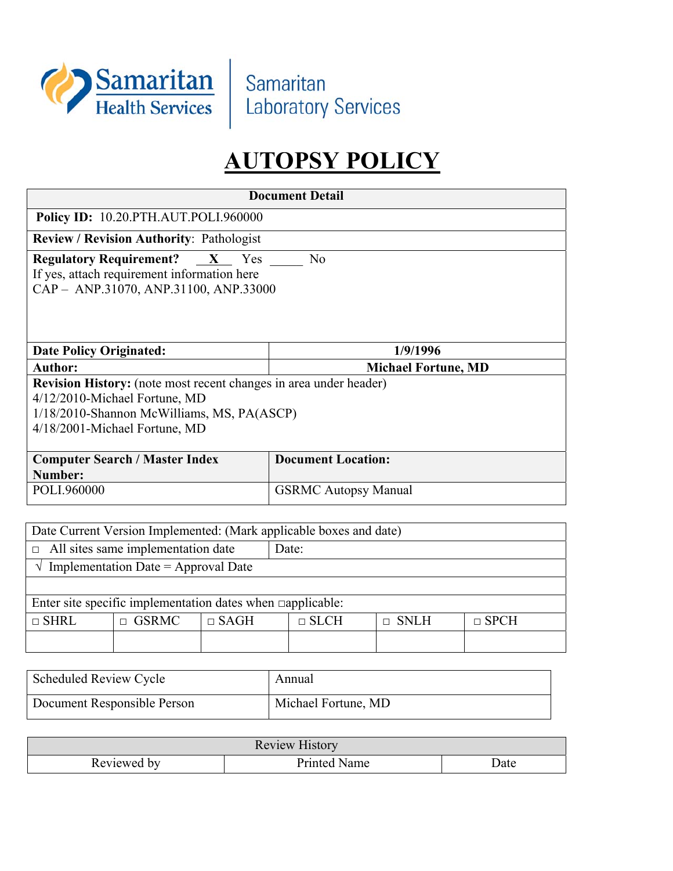

Samaritan **Laboratory Services** 

## **AUTOPSY POLICY**

| <b>Document Detail</b>                                             |                                                                             |             |                             |             |             |             |  |  |
|--------------------------------------------------------------------|-----------------------------------------------------------------------------|-------------|-----------------------------|-------------|-------------|-------------|--|--|
| <b>Policy ID: 10.20.PTH.AUT.POLI.960000</b>                        |                                                                             |             |                             |             |             |             |  |  |
| Review / Revision Authority: Pathologist                           |                                                                             |             |                             |             |             |             |  |  |
| <b>Regulatory Requirement?</b><br>N <sub>o</sub><br>$X$ Yes        |                                                                             |             |                             |             |             |             |  |  |
|                                                                    | If yes, attach requirement information here                                 |             |                             |             |             |             |  |  |
|                                                                    | CAP - ANP.31070, ANP.31100, ANP.33000                                       |             |                             |             |             |             |  |  |
|                                                                    |                                                                             |             |                             |             |             |             |  |  |
|                                                                    |                                                                             |             |                             |             |             |             |  |  |
| <b>Date Policy Originated:</b>                                     |                                                                             |             |                             | 1/9/1996    |             |             |  |  |
| <b>Author:</b>                                                     |                                                                             |             | <b>Michael Fortune, MD</b>  |             |             |             |  |  |
|                                                                    | Revision History: (note most recent changes in area under header)           |             |                             |             |             |             |  |  |
|                                                                    | 4/12/2010-Michael Fortune, MD                                               |             |                             |             |             |             |  |  |
|                                                                    | 1/18/2010-Shannon McWilliams, MS, PA(ASCP)<br>4/18/2001-Michael Fortune, MD |             |                             |             |             |             |  |  |
|                                                                    |                                                                             |             |                             |             |             |             |  |  |
| <b>Computer Search / Master Index</b>                              |                                                                             |             | <b>Document Location:</b>   |             |             |             |  |  |
| Number:                                                            |                                                                             |             |                             |             |             |             |  |  |
| POLI.960000                                                        |                                                                             |             | <b>GSRMC Autopsy Manual</b> |             |             |             |  |  |
|                                                                    |                                                                             |             |                             |             |             |             |  |  |
| Date Current Version Implemented: (Mark applicable boxes and date) |                                                                             |             |                             |             |             |             |  |  |
| All sites same implementation date                                 |                                                                             |             | Date:                       |             |             |             |  |  |
| $\sqrt{\ }$ Implementation Date = Approval Date                    |                                                                             |             |                             |             |             |             |  |  |
|                                                                    |                                                                             |             |                             |             |             |             |  |  |
| Enter site specific implementation dates when $\Box$ applicable:   |                                                                             |             |                             |             |             |             |  |  |
| $\sqcap$ SHRL                                                      | <b>GSRMC</b><br>$\Box$                                                      | $\Box$ SAGH |                             | $\Box$ SLCH | $\Box$ SNLH | $\Box$ SPCH |  |  |
|                                                                    |                                                                             |             |                             |             |             |             |  |  |

| <b>Scheduled Review Cycle</b> | Annual              |
|-------------------------------|---------------------|
| Document Responsible Person   | Michael Fortune, MD |

| <b>Review History</b> |                           |      |  |  |  |
|-----------------------|---------------------------|------|--|--|--|
| Reviewed by           | $Printed_{\perp}$<br>Name | Date |  |  |  |